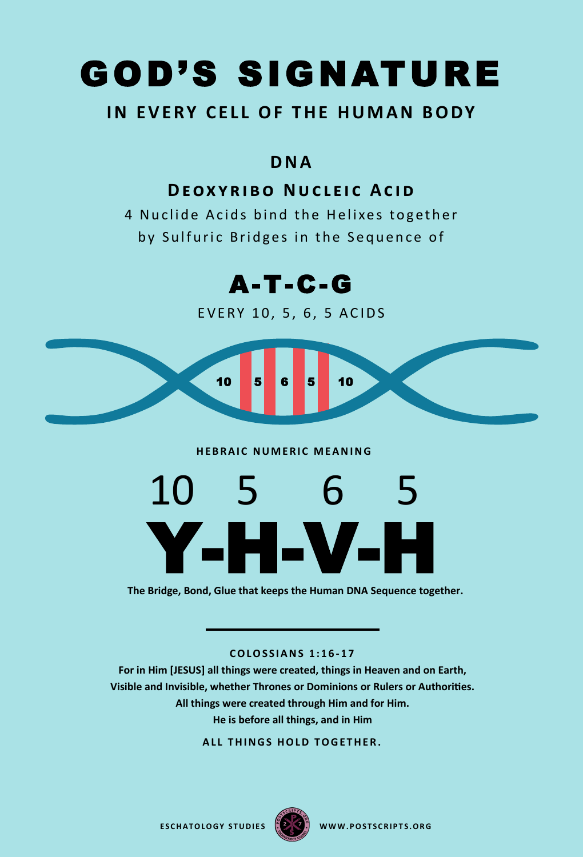## GOD'S SIGNATURE

#### **IN EVERY CELL OF THE HUMAN BODY**

#### **D N A**

#### **DEOXYRIBO NUCLEIC ACID**

4 Nuclide Acids bind the Helixes together by Sulfuric Bridges in the Sequence of



EVERY 10, 5, 6, 5 ACIDS



#### **HEBRAIC NUMERIC MEANING**



**The Bridge, Bond, Glue that keeps the Human DNA Sequence together.**

**C O L O S S I A N S 1 : 1 6 - 1 7**

**For in Him [JESUS] all things were created, things in Heaven and on Earth, Visible and Invisible, whether Thrones or Dominions or Rulers or Authorities. All things were created through Him and for Him. He is before all things, and in Him** 

**ALL THINGS HOLD TOGETHER.** 

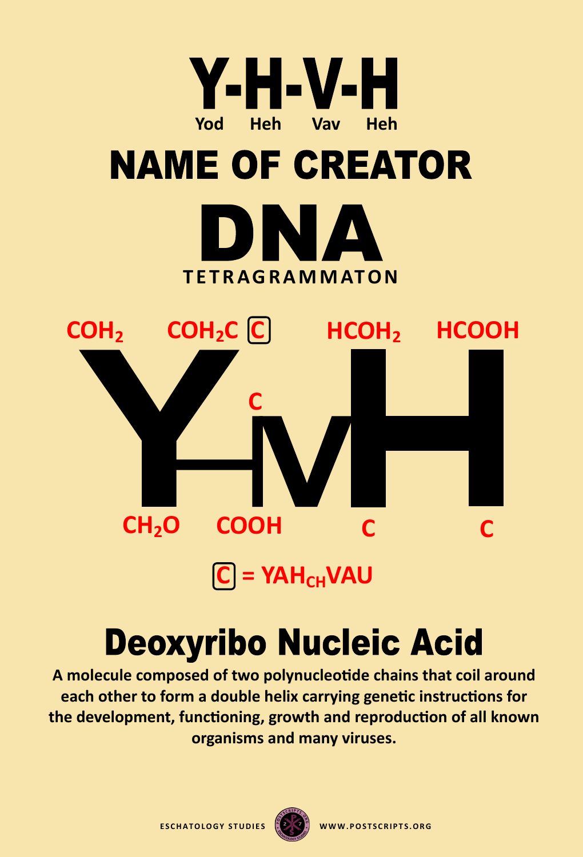

 $[C]$  = YAH<sub>CH</sub>VAU

## **Deoxyribo Nucleic Acid**

**A [molecule](https://en.wikipedia.org/wiki/Molecule) composed of two [polynucleotide](https://en.wikipedia.org/wiki/Polynucleotide) chains that coil around each other to form a [double helix](https://en.wikipedia.org/wiki/Nucleic_acid_double_helix) carrying [genetic](https://en.wikipedia.org/wiki/Genetics) instructions for the development, functioning, growth and [reproduction](https://en.wikipedia.org/wiki/Reproduction) of all known [organisms](https://en.wikipedia.org/wiki/Organism) and many [viruses.](https://en.wikipedia.org/wiki/Virus)**